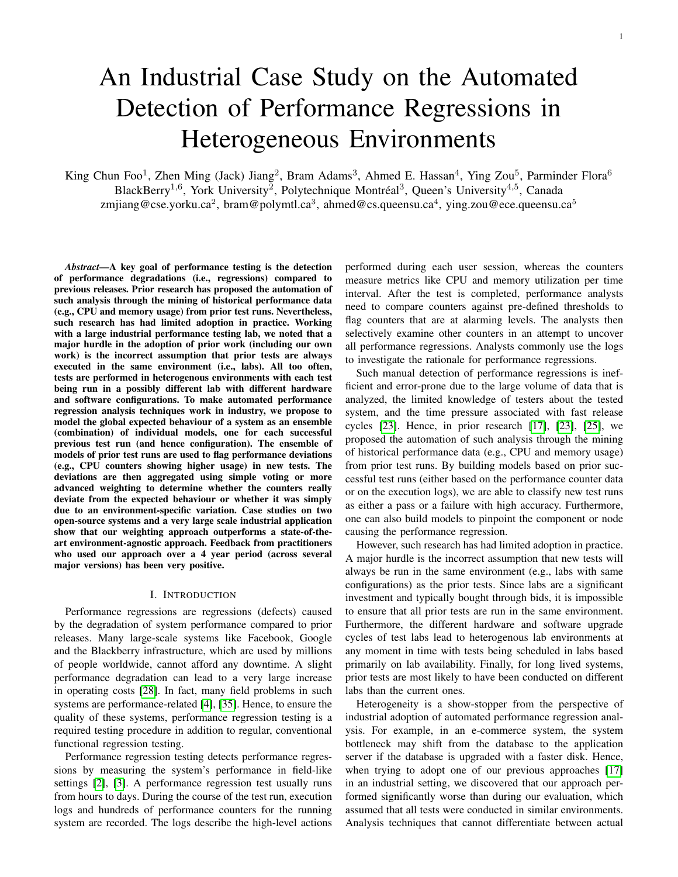# An Industrial Case Study on the Automated Detection of Performance Regressions in Heterogeneous Environments

King Chun Foo<sup>1</sup>, Zhen Ming (Jack) Jiang<sup>2</sup>, Bram Adams<sup>3</sup>, Ahmed E. Hassan<sup>4</sup>, Ying Zou<sup>5</sup>, Parminder Flora<sup>6</sup> BlackBerry<sup>1,6</sup>, York University<sup>2</sup>, Polytechnique Montréal<sup>3</sup>, Queen's University<sup>4,5</sup>, Canada zmjiang@cse.yorku.ca<sup>2</sup>, bram@polymtl.ca<sup>3</sup>, ahmed@cs.queensu.ca<sup>4</sup>, ying.zou@ece.queensu.ca<sup>5</sup>

*Abstract*—A key goal of performance testing is the detection of performance degradations (i.e., regressions) compared to previous releases. Prior research has proposed the automation of such analysis through the mining of historical performance data (e.g., CPU and memory usage) from prior test runs. Nevertheless, such research has had limited adoption in practice. Working with a large industrial performance testing lab, we noted that a major hurdle in the adoption of prior work (including our own work) is the incorrect assumption that prior tests are always executed in the same environment (i.e., labs). All too often, tests are performed in heterogenous environments with each test being run in a possibly different lab with different hardware and software configurations. To make automated performance regression analysis techniques work in industry, we propose to model the global expected behaviour of a system as an ensemble (combination) of individual models, one for each successful previous test run (and hence configuration). The ensemble of models of prior test runs are used to flag performance deviations (e.g., CPU counters showing higher usage) in new tests. The deviations are then aggregated using simple voting or more advanced weighting to determine whether the counters really deviate from the expected behaviour or whether it was simply due to an environment-specific variation. Case studies on two open-source systems and a very large scale industrial application show that our weighting approach outperforms a state-of-theart environment-agnostic approach. Feedback from practitioners who used our approach over a 4 year period (across several major versions) has been very positive.

## I. INTRODUCTION

Performance regressions are regressions (defects) caused by the degradation of system performance compared to prior releases. Many large-scale systems like Facebook, Google and the Blackberry infrastructure, which are used by millions of people worldwide, cannot afford any downtime. A slight performance degradation can lead to a very large increase in operating costs [\[28\]](#page-9-0). In fact, many field problems in such systems are performance-related [\[4\]](#page-9-1), [\[35\]](#page-9-2). Hence, to ensure the quality of these systems, performance regression testing is a required testing procedure in addition to regular, conventional functional regression testing.

Performance regression testing detects performance regressions by measuring the system's performance in field-like settings [\[2\]](#page-9-3), [\[3\]](#page-9-4). A performance regression test usually runs from hours to days. During the course of the test run, execution logs and hundreds of performance counters for the running system are recorded. The logs describe the high-level actions performed during each user session, whereas the counters measure metrics like CPU and memory utilization per time interval. After the test is completed, performance analysts need to compare counters against pre-defined thresholds to flag counters that are at alarming levels. The analysts then selectively examine other counters in an attempt to uncover all performance regressions. Analysts commonly use the logs to investigate the rationale for performance regressions.

Such manual detection of performance regressions is inefficient and error-prone due to the large volume of data that is analyzed, the limited knowledge of testers about the tested system, and the time pressure associated with fast release cycles [\[23\]](#page-9-5). Hence, in prior research [\[17\]](#page-9-6), [\[23\]](#page-9-5), [\[25\]](#page-9-7), we proposed the automation of such analysis through the mining of historical performance data (e.g., CPU and memory usage) from prior test runs. By building models based on prior successful test runs (either based on the performance counter data or on the execution logs), we are able to classify new test runs as either a pass or a failure with high accuracy. Furthermore, one can also build models to pinpoint the component or node causing the performance regression.

However, such research has had limited adoption in practice. A major hurdle is the incorrect assumption that new tests will always be run in the same environment (e.g., labs with same configurations) as the prior tests. Since labs are a significant investment and typically bought through bids, it is impossible to ensure that all prior tests are run in the same environment. Furthermore, the different hardware and software upgrade cycles of test labs lead to heterogenous lab environments at any moment in time with tests being scheduled in labs based primarily on lab availability. Finally, for long lived systems, prior tests are most likely to have been conducted on different labs than the current ones.

Heterogeneity is a show-stopper from the perspective of industrial adoption of automated performance regression analysis. For example, in an e-commerce system, the system bottleneck may shift from the database to the application server if the database is upgraded with a faster disk. Hence, when trying to adopt one of our previous approaches [\[17\]](#page-9-6) in an industrial setting, we discovered that our approach performed significantly worse than during our evaluation, which assumed that all tests were conducted in similar environments. Analysis techniques that cannot differentiate between actual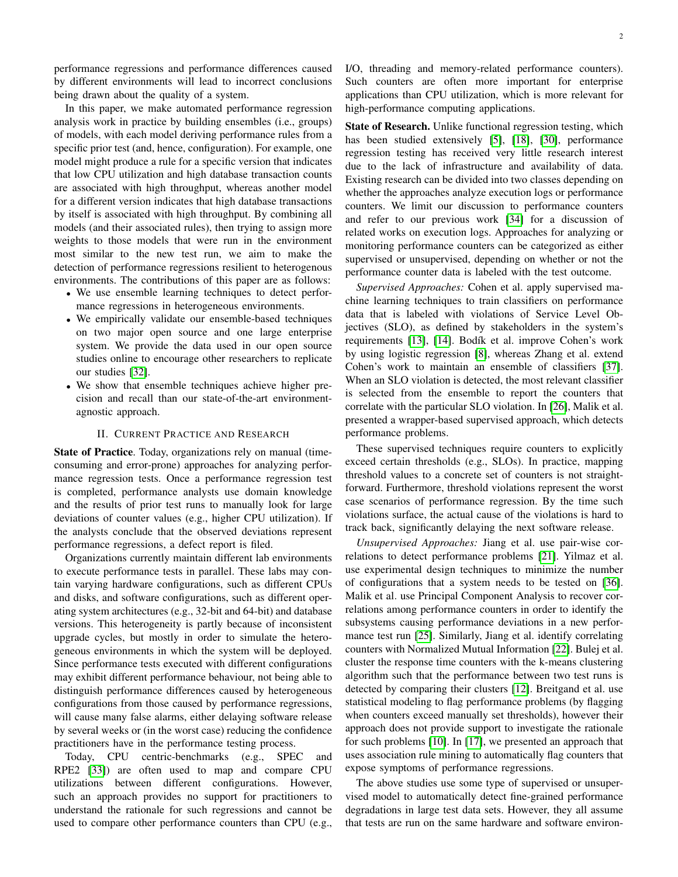performance regressions and performance differences caused by different environments will lead to incorrect conclusions being drawn about the quality of a system.

In this paper, we make automated performance regression analysis work in practice by building ensembles (i.e., groups) of models, with each model deriving performance rules from a specific prior test (and, hence, configuration). For example, one model might produce a rule for a specific version that indicates that low CPU utilization and high database transaction counts are associated with high throughput, whereas another model for a different version indicates that high database transactions by itself is associated with high throughput. By combining all models (and their associated rules), then trying to assign more weights to those models that were run in the environment most similar to the new test run, we aim to make the detection of performance regressions resilient to heterogenous environments. The contributions of this paper are as follows:

- We use ensemble learning techniques to detect performance regressions in heterogeneous environments.
- We empirically validate our ensemble-based techniques on two major open source and one large enterprise system. We provide the data used in our open source studies online to encourage other researchers to replicate our studies [\[32\]](#page-9-8).
- We show that ensemble techniques achieve higher precision and recall than our state-of-the-art environmentagnostic approach.

## II. CURRENT PRACTICE AND RESEARCH

**State of Practice.** Today, organizations rely on manual (timeconsuming and error-prone) approaches for analyzing performance regression tests. Once a performance regression test is completed, performance analysts use domain knowledge and the results of prior test runs to manually look for large deviations of counter values (e.g., higher CPU utilization). If the analysts conclude that the observed deviations represent performance regressions, a defect report is filed.

Organizations currently maintain different lab environments to execute performance tests in parallel. These labs may contain varying hardware configurations, such as different CPUs and disks, and software configurations, such as different operating system architectures (e.g., 32-bit and 64-bit) and database versions. This heterogeneity is partly because of inconsistent upgrade cycles, but mostly in order to simulate the heterogeneous environments in which the system will be deployed. Since performance tests executed with different configurations may exhibit different performance behaviour, not being able to distinguish performance differences caused by heterogeneous configurations from those caused by performance regressions, will cause many false alarms, either delaying software release by several weeks or (in the worst case) reducing the confidence practitioners have in the performance testing process.

Today, CPU centric-benchmarks (e.g., SPEC and RPE2 [\[33\]](#page-9-9)) are often used to map and compare CPU utilizations between different configurations. However, such an approach provides no support for practitioners to understand the rationale for such regressions and cannot be used to compare other performance counters than CPU (e.g., I/O, threading and memory-related performance counters). Such counters are often more important for enterprise applications than CPU utilization, which is more relevant for high-performance computing applications.

State of Research. Unlike functional regression testing, which has been studied extensively [\[5\]](#page-9-10), [\[18\]](#page-9-11), [\[30\]](#page-9-12), performance regression testing has received very little research interest due to the lack of infrastructure and availability of data. Existing research can be divided into two classes depending on whether the approaches analyze execution logs or performance counters. We limit our discussion to performance counters and refer to our previous work [\[34\]](#page-9-13) for a discussion of related works on execution logs. Approaches for analyzing or monitoring performance counters can be categorized as either supervised or unsupervised, depending on whether or not the performance counter data is labeled with the test outcome.

*Supervised Approaches:* Cohen et al. apply supervised machine learning techniques to train classifiers on performance data that is labeled with violations of Service Level Objectives (SLO), as defined by stakeholders in the system's requirements [\[13\]](#page-9-14), [\[14\]](#page-9-15). Bodík et al. improve Cohen's work by using logistic regression [\[8\]](#page-9-16), whereas Zhang et al. extend Cohen's work to maintain an ensemble of classifiers [\[37\]](#page-9-17). When an SLO violation is detected, the most relevant classifier is selected from the ensemble to report the counters that correlate with the particular SLO violation. In [\[26\]](#page-9-18), Malik et al. presented a wrapper-based supervised approach, which detects performance problems.

These supervised techniques require counters to explicitly exceed certain thresholds (e.g., SLOs). In practice, mapping threshold values to a concrete set of counters is not straightforward. Furthermore, threshold violations represent the worst case scenarios of performance regression. By the time such violations surface, the actual cause of the violations is hard to track back, significantly delaying the next software release.

*Unsupervised Approaches:* Jiang et al. use pair-wise correlations to detect performance problems [\[21\]](#page-9-19). Yilmaz et al. use experimental design techniques to minimize the number of configurations that a system needs to be tested on [\[36\]](#page-9-20). Malik et al. use Principal Component Analysis to recover correlations among performance counters in order to identify the subsystems causing performance deviations in a new performance test run [\[25\]](#page-9-7). Similarly, Jiang et al. identify correlating counters with Normalized Mutual Information [\[22\]](#page-9-21). Bulej et al. cluster the response time counters with the k-means clustering algorithm such that the performance between two test runs is detected by comparing their clusters [\[12\]](#page-9-22). Breitgand et al. use statistical modeling to flag performance problems (by flagging when counters exceed manually set thresholds), however their approach does not provide support to investigate the rationale for such problems [\[10\]](#page-9-23). In [\[17\]](#page-9-6), we presented an approach that uses association rule mining to automatically flag counters that expose symptoms of performance regressions.

The above studies use some type of supervised or unsupervised model to automatically detect fine-grained performance degradations in large test data sets. However, they all assume that tests are run on the same hardware and software environ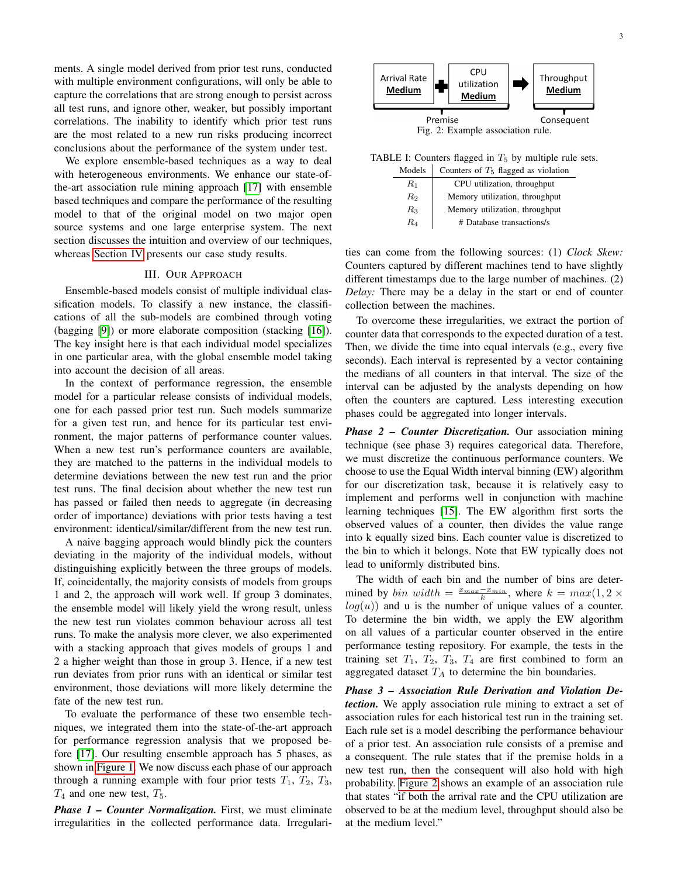ments. A single model derived from prior test runs, conducted with multiple environment configurations, will only be able to capture the correlations that are strong enough to persist across all test runs, and ignore other, weaker, but possibly important correlations. The inability to identify which prior test runs are the most related to a new run risks producing incorrect conclusions about the performance of the system under test.

We explore ensemble-based techniques as a way to deal with heterogeneous environments. We enhance our state-ofthe-art association rule mining approach [\[17\]](#page-9-6) with ensemble based techniques and compare the performance of the resulting model to that of the original model on two major open source systems and one large enterprise system. The next section discusses the intuition and overview of our techniques, whereas [Section IV](#page-4-0) presents our case study results.

# III. OUR APPROACH

Ensemble-based models consist of multiple individual classification models. To classify a new instance, the classifications of all the sub-models are combined through voting (bagging [\[9\]](#page-9-24)) or more elaborate composition (stacking [\[16\]](#page-9-25)). The key insight here is that each individual model specializes in one particular area, with the global ensemble model taking into account the decision of all areas.

In the context of performance regression, the ensemble model for a particular release consists of individual models, one for each passed prior test run. Such models summarize for a given test run, and hence for its particular test environment, the major patterns of performance counter values. When a new test run's performance counters are available, they are matched to the patterns in the individual models to determine deviations between the new test run and the prior test runs. The final decision about whether the new test run has passed or failed then needs to aggregate (in decreasing order of importance) deviations with prior tests having a test environment: identical/similar/different from the new test run.

A naive bagging approach would blindly pick the counters deviating in the majority of the individual models, without distinguishing explicitly between the three groups of models. If, coincidentally, the majority consists of models from groups 1 and 2, the approach will work well. If group 3 dominates, the ensemble model will likely yield the wrong result, unless the new test run violates common behaviour across all test runs. To make the analysis more clever, we also experimented with a stacking approach that gives models of groups 1 and 2 a higher weight than those in group 3. Hence, if a new test run deviates from prior runs with an identical or similar test environment, those deviations will more likely determine the fate of the new test run.

To evaluate the performance of these two ensemble techniques, we integrated them into the state-of-the-art approach for performance regression analysis that we proposed before [\[17\]](#page-9-6). Our resulting ensemble approach has 5 phases, as shown in [Figure 1.](#page-3-0) We now discuss each phase of our approach through a running example with four prior tests  $T_1$ ,  $T_2$ ,  $T_3$ ,  $T_4$  and one new test,  $T_5$ .

*Phase 1 – Counter Normalization.* First, we must eliminate irregularities in the collected performance data. Irregulari-

<span id="page-2-0"></span>

<span id="page-2-1"></span>TABLE I: Counters flagged in  $T<sub>5</sub>$  by multiple rule sets.

| Models  | Counters of $T_5$ flagged as violation |  |
|---------|----------------------------------------|--|
| $R_1$   | CPU utilization, throughput            |  |
| $R_2$   | Memory utilization, throughput         |  |
| $R_3$   | Memory utilization, throughput         |  |
| $R_{4}$ | # Database transactions/s              |  |
|         |                                        |  |

ties can come from the following sources: (1) *Clock Skew:* Counters captured by different machines tend to have slightly different timestamps due to the large number of machines. (2) *Delay:* There may be a delay in the start or end of counter collection between the machines.

To overcome these irregularities, we extract the portion of counter data that corresponds to the expected duration of a test. Then, we divide the time into equal intervals (e.g., every five seconds). Each interval is represented by a vector containing the medians of all counters in that interval. The size of the interval can be adjusted by the analysts depending on how often the counters are captured. Less interesting execution phases could be aggregated into longer intervals.

*Phase 2 – Counter Discretization.* Our association mining technique (see phase 3) requires categorical data. Therefore, we must discretize the continuous performance counters. We choose to use the Equal Width interval binning (EW) algorithm for our discretization task, because it is relatively easy to implement and performs well in conjunction with machine learning techniques [\[15\]](#page-9-26). The EW algorithm first sorts the observed values of a counter, then divides the value range into k equally sized bins. Each counter value is discretized to the bin to which it belongs. Note that EW typically does not lead to uniformly distributed bins.

The width of each bin and the number of bins are determined by *bin* width =  $\frac{x_{max}-x_{min}}{k}$ , where  $k = max(1, 2 \times$  $log(u)$  and u is the number of unique values of a counter. To determine the bin width, we apply the EW algorithm on all values of a particular counter observed in the entire performance testing repository. For example, the tests in the training set  $T_1$ ,  $T_2$ ,  $T_3$ ,  $T_4$  are first combined to form an aggregated dataset  $T_A$  to determine the bin boundaries.

*Phase 3 – Association Rule Derivation and Violation Detection.* We apply association rule mining to extract a set of association rules for each historical test run in the training set. Each rule set is a model describing the performance behaviour of a prior test. An association rule consists of a premise and a consequent. The rule states that if the premise holds in a new test run, then the consequent will also hold with high probability. [Figure 2](#page-2-0) shows an example of an association rule that states "if both the arrival rate and the CPU utilization are observed to be at the medium level, throughput should also be at the medium level."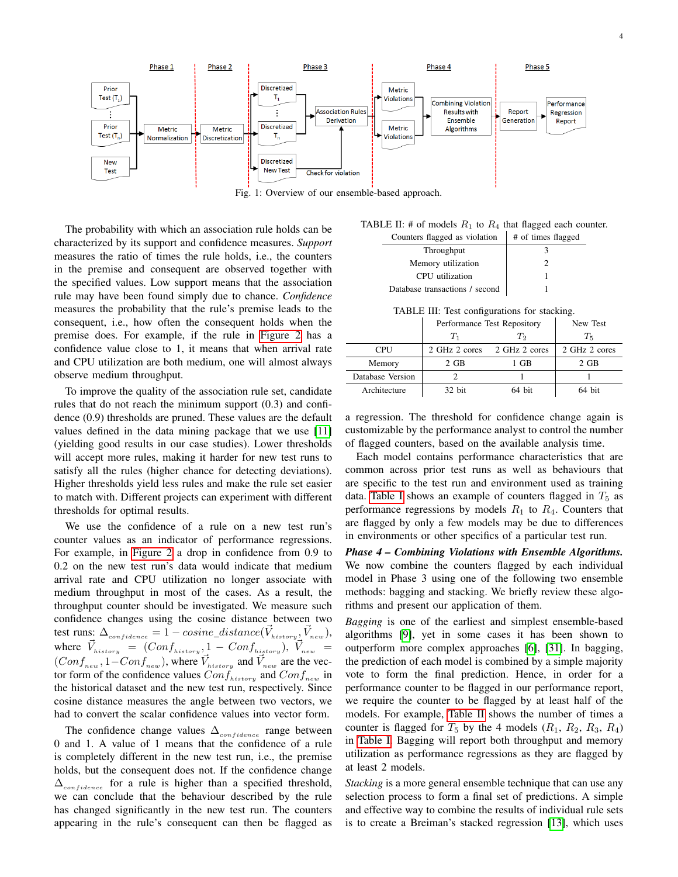<span id="page-3-0"></span>

Fig. 1: Overview of our ensemble-based approach.

The probability with which an association rule holds can be characterized by its support and confidence measures. *Support* measures the ratio of times the rule holds, i.e., the counters in the premise and consequent are observed together with the specified values. Low support means that the association rule may have been found simply due to chance. *Confidence* measures the probability that the rule's premise leads to the consequent, i.e., how often the consequent holds when the premise does. For example, if the rule in [Figure 2](#page-2-0) has a confidence value close to 1, it means that when arrival rate and CPU utilization are both medium, one will almost always observe medium throughput.

To improve the quality of the association rule set, candidate rules that do not reach the minimum support (0.3) and confidence (0.9) thresholds are pruned. These values are the default values defined in the data mining package that we use [\[11\]](#page-9-27) (yielding good results in our case studies). Lower thresholds will accept more rules, making it harder for new test runs to satisfy all the rules (higher chance for detecting deviations). Higher thresholds yield less rules and make the rule set easier to match with. Different projects can experiment with different thresholds for optimal results.

We use the confidence of a rule on a new test run's counter values as an indicator of performance regressions. For example, in [Figure 2](#page-2-0) a drop in confidence from 0.9 to 0.2 on the new test run's data would indicate that medium arrival rate and CPU utilization no longer associate with medium throughput in most of the cases. As a result, the throughput counter should be investigated. We measure such confidence changes using the cosine distance between two test runs:  $\Delta_{confidence} = 1 - cosine\_distance(\vec{V}_{history}, \vec{V}_{new}),$ where  $\vec{V}_{history} = (Conf_{history}, 1 - Conf_{history}), \vec{V}_{new} =$  $(Conf_{new}, 1 - Conf_{new})$ , where  $\vec{V}_{history}$  and  $\vec{V}_{new}$  are the vector form of the confidence values  $Conf_{history}$  and  $Conf_{new}$  in the historical dataset and the new test run, respectively. Since cosine distance measures the angle between two vectors, we had to convert the scalar confidence values into vector form.

The confidence change values  $\Delta_{confidence}$  range between 0 and 1. A value of 1 means that the confidence of a rule is completely different in the new test run, i.e., the premise holds, but the consequent does not. If the confidence change  $\Delta_{confidence}$  for a rule is higher than a specified threshold, we can conclude that the behaviour described by the rule has changed significantly in the new test run. The counters appearing in the rule's consequent can then be flagged as

<span id="page-3-1"></span>TABLE II: # of models  $R_1$  to  $R_4$  that flagged each counter. Inters flagged as violation  $\parallel$  # of times flagged

| Counters hagged as violation   | $\pi$ of the s if |
|--------------------------------|-------------------|
| Throughput                     |                   |
| Memory utilization             |                   |
| CPU utilization                |                   |
| Database transactions / second |                   |

TABLE III: Test configurations for stacking.

<span id="page-3-2"></span>

|                  | Performance Test Repository | New Test      |               |
|------------------|-----------------------------|---------------|---------------|
|                  | $T_{1}$                     | Тэ            | Τ5            |
| <b>CPU</b>       | 2 GHz 2 cores               | 2 GHz 2 cores | 2 GHz 2 cores |
| Memory           | $2$ GB                      | 1 GB          | 2 GB          |
| Database Version |                             |               |               |
| Architecture     | 32 bit                      | $64$ bit      | $64$ bit      |

a regression. The threshold for confidence change again is customizable by the performance analyst to control the number of flagged counters, based on the available analysis time.

Each model contains performance characteristics that are common across prior test runs as well as behaviours that are specific to the test run and environment used as training data. [Table I](#page-2-1) shows an example of counters flagged in  $T_5$  as performance regressions by models  $R_1$  to  $R_4$ . Counters that are flagged by only a few models may be due to differences in environments or other specifics of a particular test run.

*Phase 4 – Combining Violations with Ensemble Algorithms.* We now combine the counters flagged by each individual model in Phase 3 using one of the following two ensemble methods: bagging and stacking. We briefly review these algorithms and present our application of them.

*Bagging* is one of the earliest and simplest ensemble-based algorithms [\[9\]](#page-9-24), yet in some cases it has been shown to outperform more complex approaches [\[6\]](#page-9-28), [\[31\]](#page-9-29). In bagging, the prediction of each model is combined by a simple majority vote to form the final prediction. Hence, in order for a performance counter to be flagged in our performance report, we require the counter to be flagged by at least half of the models. For example, [Table II](#page-3-1) shows the number of times a counter is flagged for  $T_5$  by the 4 models  $(R_1, R_2, R_3, R_4)$ in [Table I.](#page-2-1) Bagging will report both throughput and memory utilization as performance regressions as they are flagged by at least 2 models.

*Stacking* is a more general ensemble technique that can use any selection process to form a final set of predictions. A simple and effective way to combine the results of individual rule sets is to create a Breiman's stacked regression [\[13\]](#page-9-14), which uses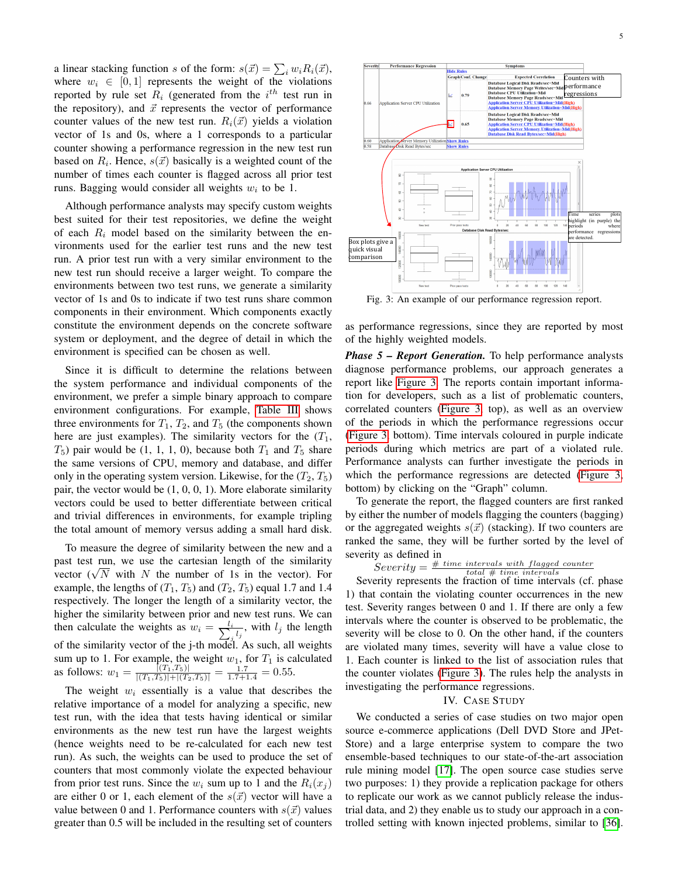a linear stacking function s of the form:  $s(\vec{x}) = \sum_i w_i R_i(\vec{x})$ , where  $w_i \in [0, 1]$  represents the weight of the violations reported by rule set  $R_i$  (generated from the  $i^{th}$  test run in the repository), and  $\vec{x}$  represents the vector of performance counter values of the new test run.  $R_i(\vec{x})$  yields a violation vector of 1s and 0s, where a 1 corresponds to a particular counter showing a performance regression in the new test run based on  $R_i$ . Hence,  $s(\vec{x})$  basically is a weighted count of the number of times each counter is flagged across all prior test runs. Bagging would consider all weights  $w_i$  to be 1.

Although performance analysts may specify custom weights best suited for their test repositories, we define the weight of each  $R_i$  model based on the similarity between the environments used for the earlier test runs and the new test run. A prior test run with a very similar environment to the new test run should receive a larger weight. To compare the environments between two test runs, we generate a similarity vector of 1s and 0s to indicate if two test runs share common components in their environment. Which components exactly constitute the environment depends on the concrete software system or deployment, and the degree of detail in which the environment is specified can be chosen as well.

Since it is difficult to determine the relations between the system performance and individual components of the environment, we prefer a simple binary approach to compare environment configurations. For example, [Table III](#page-3-2) shows three environments for  $T_1$ ,  $T_2$ , and  $T_5$  (the components shown here are just examples). The similarity vectors for the  $(T_1,$  $T_5$ ) pair would be (1, 1, 1, 0), because both  $T_1$  and  $T_5$  share the same versions of CPU, memory and database, and differ only in the operating system version. Likewise, for the  $(T_2, T_5)$ pair, the vector would be  $(1, 0, 0, 1)$ . More elaborate similarity vectors could be used to better differentiate between critical and trivial differences in environments, for example tripling the total amount of memory versus adding a small hard disk.

To measure the degree of similarity between the new and a past test run, we use the cartesian length of the similarity past test run, we use the cartesian length of the similarity vector  $(\sqrt{N}$  with N the number of 1s in the vector). For example, the lengths of  $(T_1, T_5)$  and  $(T_2, T_5)$  equal 1.7 and 1.4 respectively. The longer the length of a similarity vector, the higher the similarity between prior and new test runs. We can then calculate the weights as  $w_i = \frac{l_i}{\sum_i n_i}$  $\frac{i}{j}$ , with  $l_j$  the length of the similarity vector of the j-th model. As such, all weights sum up to 1. For example, the weight  $w_1$ , for  $T_1$  is calculated as follows:  $w_1 = \frac{[(T_1, T_5)]}{[(T_1, T_5)] + [(T_2, T_5)]} = \frac{1.7}{1.7 + 1.4} = 0.55.$ 

The weight  $w_i$  essentially is a value that describes the relative importance of a model for analyzing a specific, new test run, with the idea that tests having identical or similar environments as the new test run have the largest weights (hence weights need to be re-calculated for each new test run). As such, the weights can be used to produce the set of counters that most commonly violate the expected behaviour from prior test runs. Since the  $w_i$  sum up to 1 and the  $R_i(x_i)$ are either 0 or 1, each element of the  $s(\vec{x})$  vector will have a value between 0 and 1. Performance counters with  $s(\vec{x})$  values greater than 0.5 will be included in the resulting set of counters

<span id="page-4-1"></span>

Fig. 3: An example of our performance regression report.

as performance regressions, since they are reported by most of the highly weighted models.

*Phase 5 – Report Generation.* To help performance analysts diagnose performance problems, our approach generates a report like [Figure 3.](#page-4-1) The reports contain important information for developers, such as a list of problematic counters, correlated counters [\(Figure 3,](#page-4-1) top), as well as an overview of the periods in which the performance regressions occur [\(Figure 3,](#page-4-1) bottom). Time intervals coloured in purple indicate periods during which metrics are part of a violated rule. Performance analysts can further investigate the periods in which the performance regressions are detected [\(Figure 3,](#page-4-1) bottom) by clicking on the "Graph" column.

To generate the report, the flagged counters are first ranked by either the number of models flagging the counters (bagging) or the aggregated weights  $s(\vec{x})$  (stacking). If two counters are ranked the same, they will be further sorted by the level of severity as defined in

$$
Severity = \frac{\# \ time \ intervals \ with \ flagged \ counter}{total \ # \ time \ intervals}
$$

Severity represents the fraction of time intervals (cf. phase 1) that contain the violating counter occurrences in the new test. Severity ranges between 0 and 1. If there are only a few intervals where the counter is observed to be problematic, the severity will be close to 0. On the other hand, if the counters are violated many times, severity will have a value close to 1. Each counter is linked to the list of association rules that the counter violates [\(Figure 3\)](#page-4-1). The rules help the analysts in investigating the performance regressions.

# IV. CASE STUDY

<span id="page-4-0"></span>We conducted a series of case studies on two major open source e-commerce applications (Dell DVD Store and JPet-Store) and a large enterprise system to compare the two ensemble-based techniques to our state-of-the-art association rule mining model [\[17\]](#page-9-6). The open source case studies serve two purposes: 1) they provide a replication package for others to replicate our work as we cannot publicly release the industrial data, and 2) they enable us to study our approach in a controlled setting with known injected problems, similar to [\[36\]](#page-9-20).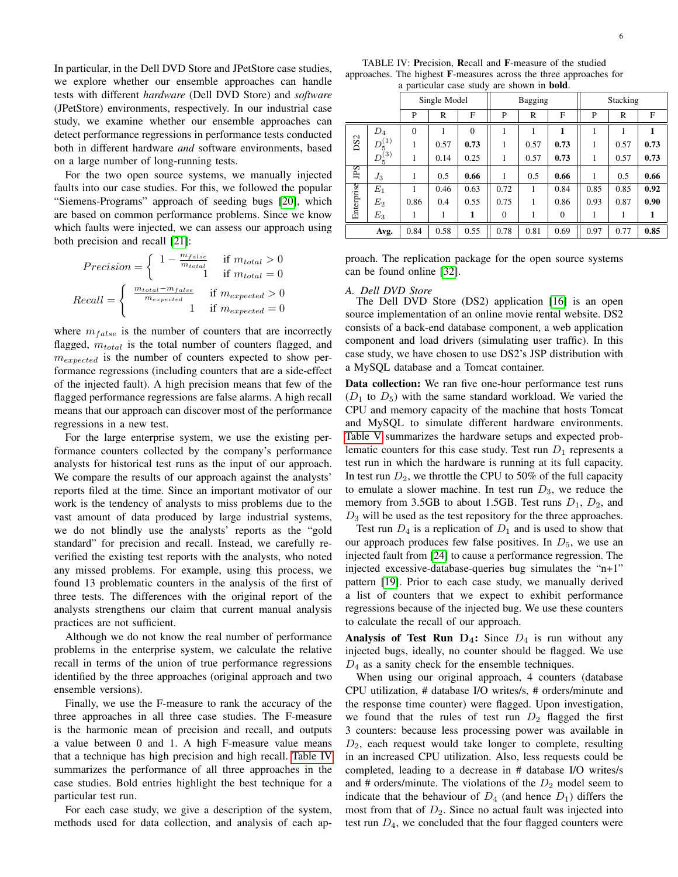In particular, in the Dell DVD Store and JPetStore case studies, we explore whether our ensemble approaches can handle tests with different *hardware* (Dell DVD Store) and *software* (JPetStore) environments, respectively. In our industrial case study, we examine whether our ensemble approaches can detect performance regressions in performance tests conducted both in different hardware *and* software environments, based on a large number of long-running tests.

For the two open source systems, we manually injected faults into our case studies. For this, we followed the popular "Siemens-Programs" approach of seeding bugs [\[20\]](#page-9-30), which are based on common performance problems. Since we know which faults were injected, we can assess our approach using both precision and recall [\[21\]](#page-9-19):

<span id="page-5-1"></span>
$$
Precision = \begin{cases} 1 - \frac{m_{false}}{m_{total}} & \text{if } m_{total} > 0\\ 1 & \text{if } m_{total} = 0 \end{cases}
$$

$$
Recall = \begin{cases} \frac{m_{total} - m_{false}}{m_{expected}} & \text{if } m_{expected} > 0\\ 1 & \text{if } m_{expected} = 0 \end{cases}
$$

where  $m_{false}$  is the number of counters that are incorrectly flagged,  $m_{total}$  is the total number of counters flagged, and  $m_{expected}$  is the number of counters expected to show performance regressions (including counters that are a side-effect of the injected fault). A high precision means that few of the flagged performance regressions are false alarms. A high recall means that our approach can discover most of the performance regressions in a new test.

For the large enterprise system, we use the existing performance counters collected by the company's performance analysts for historical test runs as the input of our approach. We compare the results of our approach against the analysts' reports filed at the time. Since an important motivator of our work is the tendency of analysts to miss problems due to the vast amount of data produced by large industrial systems, we do not blindly use the analysts' reports as the "gold standard" for precision and recall. Instead, we carefully reverified the existing test reports with the analysts, who noted any missed problems. For example, using this process, we found 13 problematic counters in the analysis of the first of three tests. The differences with the original report of the analysts strengthens our claim that current manual analysis practices are not sufficient.

Although we do not know the real number of performance problems in the enterprise system, we calculate the relative recall in terms of the union of true performance regressions identified by the three approaches (original approach and two ensemble versions).

Finally, we use the F-measure to rank the accuracy of the three approaches in all three case studies. The F-measure is the harmonic mean of precision and recall, and outputs a value between 0 and 1. A high F-measure value means that a technique has high precision and high recall. [Table IV](#page-5-0) summarizes the performance of all three approaches in the case studies. Bold entries highlight the best technique for a particular test run.

For each case study, we give a description of the system, methods used for data collection, and analysis of each ap-

<span id="page-5-0"></span>TABLE IV: Precision, Recall and F-measure of the studied approaches. The highest F-measures across the three approaches for a particular case study are shown in bold.

|                 | Single Model              |              | Bagging |          |          | Stacking |          |      |      |      |
|-----------------|---------------------------|--------------|---------|----------|----------|----------|----------|------|------|------|
|                 |                           | P            | R       | F        | P        | R        | F        | P    | R    | F    |
|                 | $D_4$                     | $\mathbf{0}$ |         | $\Omega$ |          |          |          |      |      |      |
| DS <sub>2</sub> | $D_5^{(1)}$               | 1            | 0.57    | 0.73     |          | 0.57     | 0.73     |      | 0.57 | 0.73 |
|                 | (3)<br>$D_5^{\backslash}$ | 1            | 0.14    | 0.25     | 1        | 0.57     | 0.73     | 1    | 0.57 | 0.73 |
| $_{\rm IPS}$    | $J_3$                     | 1            | 0.5     | 0.66     |          | 0.5      | 0.66     |      | 0.5  | 0.66 |
| Enterprise      | $E_1$                     |              | 0.46    | 0.63     | 0.72     |          | 0.84     | 0.85 | 0.85 | 0.92 |
|                 | $E_{2}$                   | 0.86         | 0.4     | 0.55     | 0.75     |          | 0.86     | 0.93 | 0.87 | 0.90 |
|                 | $E_3$                     |              |         | 1        | $\Omega$ |          | $\theta$ |      |      | 1    |
|                 | Avg.                      | 0.84         | 0.58    | 0.55     | 0.78     | 0.81     | 0.69     | 0.97 | 0.77 | 0.85 |

proach. The replication package for the open source systems can be found online [\[32\]](#page-9-8).

#### *A. Dell DVD Store*

The Dell DVD Store (DS2) application [\[16\]](#page-9-25) is an open source implementation of an online movie rental website. DS2 consists of a back-end database component, a web application component and load drivers (simulating user traffic). In this case study, we have chosen to use DS2's JSP distribution with a MySQL database and a Tomcat container.

Data collection: We ran five one-hour performance test runs  $(D_1$  to  $D_5$ ) with the same standard workload. We varied the CPU and memory capacity of the machine that hosts Tomcat and MySQL to simulate different hardware environments. [Table V](#page-6-0) summarizes the hardware setups and expected problematic counters for this case study. Test run  $D_1$  represents a test run in which the hardware is running at its full capacity. In test run  $D_2$ , we throttle the CPU to 50% of the full capacity to emulate a slower machine. In test run  $D_3$ , we reduce the memory from 3.5GB to about 1.5GB. Test runs  $D_1$ ,  $D_2$ , and  $D_3$  will be used as the test repository for the three approaches.

Test run  $D_4$  is a replication of  $D_1$  and is used to show that our approach produces few false positives. In  $D_5$ , we use an injected fault from [\[24\]](#page-9-31) to cause a performance regression. The injected excessive-database-queries bug simulates the "n+1" pattern [\[19\]](#page-9-32). Prior to each case study, we manually derived a list of counters that we expect to exhibit performance regressions because of the injected bug. We use these counters to calculate the recall of our approach.

Analysis of Test Run  $D_4$ : Since  $D_4$  is run without any injected bugs, ideally, no counter should be flagged. We use  $D_4$  as a sanity check for the ensemble techniques.

When using our original approach, 4 counters (database CPU utilization, # database I/O writes/s, # orders/minute and the response time counter) were flagged. Upon investigation, we found that the rules of test run  $D_2$  flagged the first 3 counters: because less processing power was available in  $D_2$ , each request would take longer to complete, resulting in an increased CPU utilization. Also, less requests could be completed, leading to a decrease in # database I/O writes/s and # orders/minute. The violations of the  $D_2$  model seem to indicate that the behaviour of  $D_4$  (and hence  $D_1$ ) differs the most from that of  $D_2$ . Since no actual fault was injected into test run  $D_4$ , we concluded that the four flagged counters were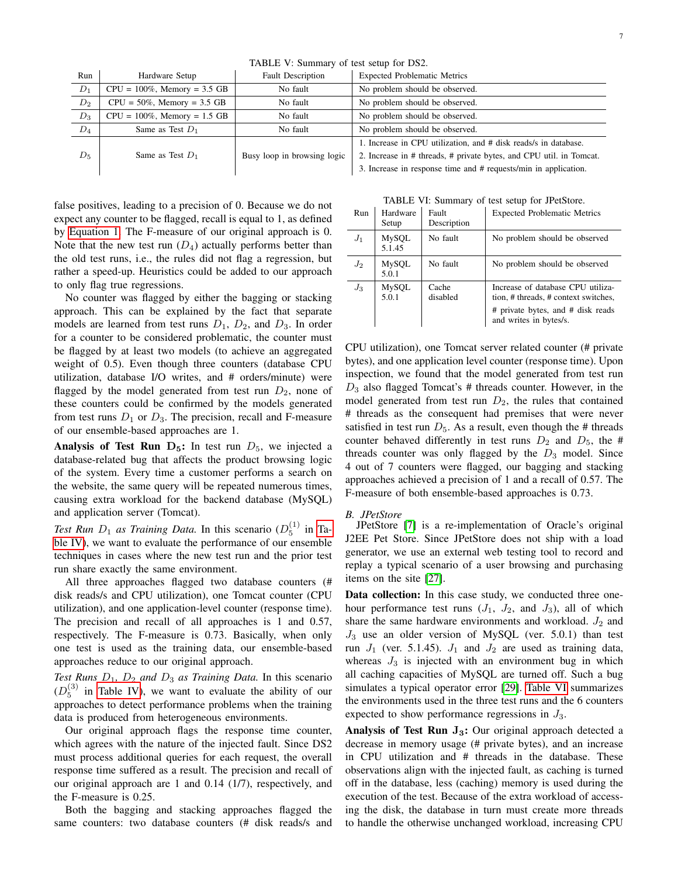TABLE V: Summary of test setup for DS2.

<span id="page-6-0"></span>

| Run   | Hardware Setup                  | <b>Fault Description</b>    | <b>Expected Problematic Metrics</b>                                 |
|-------|---------------------------------|-----------------------------|---------------------------------------------------------------------|
| $D_1$ | $CPU = 100\%$ , Memory = 3.5 GB | No fault                    | No problem should be observed.                                      |
| $D_2$ | $CPU = 50\%$ , Memory = 3.5 GB  | No fault                    | No problem should be observed.                                      |
| $D_3$ | $CPU = 100\%$ , Memory = 1.5 GB | No fault                    | No problem should be observed.                                      |
| $D_4$ | Same as Test $D_1$              | No fault                    | No problem should be observed.                                      |
|       |                                 |                             | 1. Increase in CPU utilization, and # disk reads/s in database.     |
| $D_5$ | Same as Test $D_1$              | Busy loop in browsing logic | 2. Increase in # threads, # private bytes, and CPU util. in Tomcat. |
|       |                                 |                             | 3. Increase in response time and # requests/min in application.     |

false positives, leading to a precision of 0. Because we do not expect any counter to be flagged, recall is equal to 1, as defined by [Equation 1.](#page-5-1) The F-measure of our original approach is 0. Note that the new test run  $(D_4)$  actually performs better than the old test runs, i.e., the rules did not flag a regression, but rather a speed-up. Heuristics could be added to our approach to only flag true regressions.

No counter was flagged by either the bagging or stacking approach. This can be explained by the fact that separate models are learned from test runs  $D_1$ ,  $D_2$ , and  $D_3$ . In order for a counter to be considered problematic, the counter must be flagged by at least two models (to achieve an aggregated weight of 0.5). Even though three counters (database CPU utilization, database I/O writes, and # orders/minute) were flagged by the model generated from test run  $D_2$ , none of these counters could be confirmed by the models generated from test runs  $D_1$  or  $D_3$ . The precision, recall and F-measure of our ensemble-based approaches are 1.

**Analysis of Test Run**  $D_5$ **:** In test run  $D_5$ , we injected a database-related bug that affects the product browsing logic of the system. Every time a customer performs a search on the website, the same query will be repeated numerous times, causing extra workload for the backend database (MySQL) and application server (Tomcat).

Test Run  $D_1$  as Training Data. In this scenario  $(D_5^{(1)}$  in [Ta](#page-5-0)[ble IV\)](#page-5-0), we want to evaluate the performance of our ensemble techniques in cases where the new test run and the prior test run share exactly the same environment.

All three approaches flagged two database counters (# disk reads/s and CPU utilization), one Tomcat counter (CPU utilization), and one application-level counter (response time). The precision and recall of all approaches is 1 and 0.57, respectively. The F-measure is 0.73. Basically, when only one test is used as the training data, our ensemble-based approaches reduce to our original approach.

*Test Runs* D1*,* D<sup>2</sup> *and* D<sup>3</sup> *as Training Data.* In this scenario  $(D_5^{(3)}$  in [Table IV\)](#page-5-0), we want to evaluate the ability of our approaches to detect performance problems when the training data is produced from heterogeneous environments.

Our original approach flags the response time counter, which agrees with the nature of the injected fault. Since DS2 must process additional queries for each request, the overall response time suffered as a result. The precision and recall of our original approach are 1 and 0.14 (1/7), respectively, and the F-measure is 0.25.

Both the bagging and stacking approaches flagged the same counters: two database counters (# disk reads/s and

|  |  |  |  | TABLE VI: Summary of test setup for JPetStore. |  |
|--|--|--|--|------------------------------------------------|--|
|  |  |  |  |                                                |  |

<span id="page-6-1"></span>

| Run   | Hardware<br>Setup | Fault<br>Description | <b>Expected Problematic Metrics</b>                                                                            |
|-------|-------------------|----------------------|----------------------------------------------------------------------------------------------------------------|
| $J_1$ | MySQL<br>5.1.45   | No fault             | No problem should be observed                                                                                  |
| $J_2$ | MySQL<br>5.0.1    | No fault             | No problem should be observed                                                                                  |
| $J_3$ | MySQL<br>5.0.1    | Cache<br>disabled    | Increase of database CPU utiliza-<br>tion, # threads, # context switches,<br># private bytes, and # disk reads |
|       |                   |                      | and writes in bytes/s.                                                                                         |

CPU utilization), one Tomcat server related counter (# private bytes), and one application level counter (response time). Upon inspection, we found that the model generated from test run  $D_3$  also flagged Tomcat's # threads counter. However, in the model generated from test run  $D_2$ , the rules that contained # threads as the consequent had premises that were never satisfied in test run  $D_5$ . As a result, even though the # threads counter behaved differently in test runs  $D_2$  and  $D_5$ , the # threads counter was only flagged by the  $D_3$  model. Since 4 out of 7 counters were flagged, our bagging and stacking approaches achieved a precision of 1 and a recall of 0.57. The F-measure of both ensemble-based approaches is 0.73.

#### *B. JPetStore*

JPetStore [\[7\]](#page-9-33) is a re-implementation of Oracle's original J2EE Pet Store. Since JPetStore does not ship with a load generator, we use an external web testing tool to record and replay a typical scenario of a user browsing and purchasing items on the site [\[27\]](#page-9-34).

Data collection: In this case study, we conducted three onehour performance test runs  $(J_1, J_2, \text{ and } J_3)$ , all of which share the same hardware environments and workload.  $J_2$  and  $J_3$  use an older version of MySQL (ver. 5.0.1) than test run  $J_1$  (ver. 5.1.45).  $J_1$  and  $J_2$  are used as training data, whereas  $J_3$  is injected with an environment bug in which all caching capacities of MySQL are turned off. Such a bug simulates a typical operator error [\[29\]](#page-9-35). [Table VI](#page-6-1) summarizes the environments used in the three test runs and the 6 counters expected to show performance regressions in  $J_3$ .

Analysis of Test Run  $J_3$ : Our original approach detected a decrease in memory usage (# private bytes), and an increase in CPU utilization and # threads in the database. These observations align with the injected fault, as caching is turned off in the database, less (caching) memory is used during the execution of the test. Because of the extra workload of accessing the disk, the database in turn must create more threads to handle the otherwise unchanged workload, increasing CPU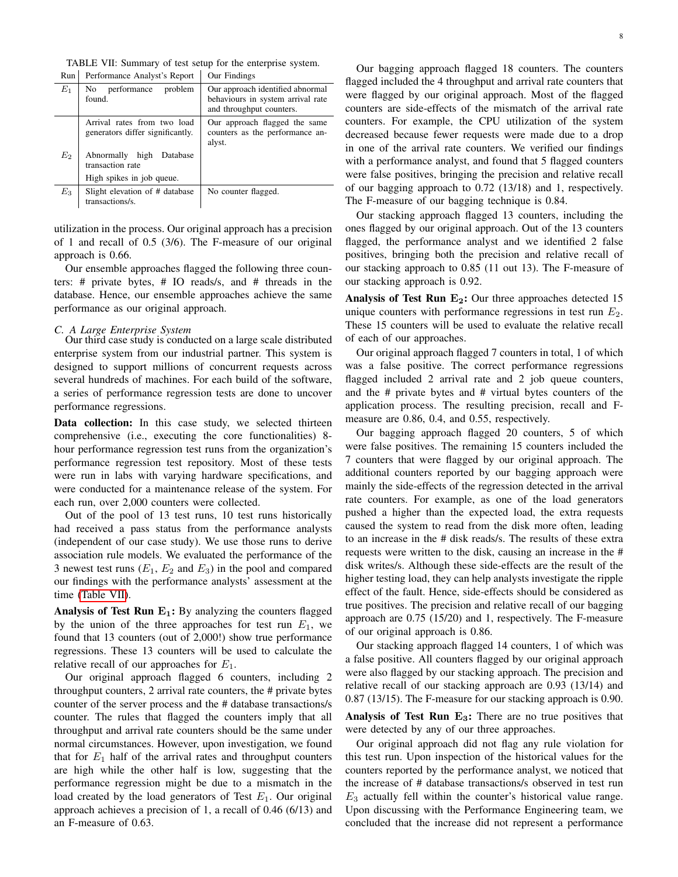<span id="page-7-0"></span>TABLE VII: Summary of test setup for the enterprise system.  $Run \mid$  Performance Analyst's Report  $\mid$  Our Findings

| $E_1$   | problem<br>No.<br>performance<br>found.                                      | Our approach identified abnormal<br>behaviours in system arrival rate<br>and throughput counters. |
|---------|------------------------------------------------------------------------------|---------------------------------------------------------------------------------------------------|
|         | Arrival rates from two load<br>generators differ significantly.              | Our approach flagged the same<br>counters as the performance an-<br>alyst.                        |
| $E_2$   | Abnormally<br>high Database<br>transaction rate<br>High spikes in job queue. |                                                                                                   |
| $E_{3}$ | Slight elevation of # database<br>transactions/s.                            | No counter flagged.                                                                               |

utilization in the process. Our original approach has a precision of 1 and recall of 0.5 (3/6). The F-measure of our original approach is 0.66.

Our ensemble approaches flagged the following three counters: # private bytes, # IO reads/s, and # threads in the database. Hence, our ensemble approaches achieve the same performance as our original approach.

# *C. A Large Enterprise System*

Our third case study is conducted on a large scale distributed enterprise system from our industrial partner. This system is designed to support millions of concurrent requests across several hundreds of machines. For each build of the software, a series of performance regression tests are done to uncover performance regressions.

Data collection: In this case study, we selected thirteen comprehensive (i.e., executing the core functionalities) 8 hour performance regression test runs from the organization's performance regression test repository. Most of these tests were run in labs with varying hardware specifications, and were conducted for a maintenance release of the system. For each run, over 2,000 counters were collected.

Out of the pool of 13 test runs, 10 test runs historically had received a pass status from the performance analysts (independent of our case study). We use those runs to derive association rule models. We evaluated the performance of the 3 newest test runs  $(E_1, E_2 \text{ and } E_3)$  in the pool and compared our findings with the performance analysts' assessment at the time [\(Table VII\)](#page-7-0).

Analysis of Test Run  $E_1$ : By analyzing the counters flagged by the union of the three approaches for test run  $E_1$ , we found that 13 counters (out of 2,000!) show true performance regressions. These 13 counters will be used to calculate the relative recall of our approaches for  $E_1$ .

Our original approach flagged 6 counters, including 2 throughput counters, 2 arrival rate counters, the # private bytes counter of the server process and the # database transactions/s counter. The rules that flagged the counters imply that all throughput and arrival rate counters should be the same under normal circumstances. However, upon investigation, we found that for  $E_1$  half of the arrival rates and throughput counters are high while the other half is low, suggesting that the performance regression might be due to a mismatch in the load created by the load generators of Test  $E_1$ . Our original approach achieves a precision of 1, a recall of 0.46 (6/13) and an F-measure of 0.63.

Our bagging approach flagged 18 counters. The counters flagged included the 4 throughput and arrival rate counters that were flagged by our original approach. Most of the flagged counters are side-effects of the mismatch of the arrival rate counters. For example, the CPU utilization of the system decreased because fewer requests were made due to a drop in one of the arrival rate counters. We verified our findings with a performance analyst, and found that 5 flagged counters were false positives, bringing the precision and relative recall of our bagging approach to 0.72 (13/18) and 1, respectively. The F-measure of our bagging technique is 0.84.

Our stacking approach flagged 13 counters, including the ones flagged by our original approach. Out of the 13 counters flagged, the performance analyst and we identified 2 false positives, bringing both the precision and relative recall of our stacking approach to 0.85 (11 out 13). The F-measure of our stacking approach is 0.92.

Analysis of Test Run  $E_2$ : Our three approaches detected 15 unique counters with performance regressions in test run  $E_2$ . These 15 counters will be used to evaluate the relative recall of each of our approaches.

Our original approach flagged 7 counters in total, 1 of which was a false positive. The correct performance regressions flagged included 2 arrival rate and 2 job queue counters, and the # private bytes and # virtual bytes counters of the application process. The resulting precision, recall and Fmeasure are 0.86, 0.4, and 0.55, respectively.

Our bagging approach flagged 20 counters, 5 of which were false positives. The remaining 15 counters included the 7 counters that were flagged by our original approach. The additional counters reported by our bagging approach were mainly the side-effects of the regression detected in the arrival rate counters. For example, as one of the load generators pushed a higher than the expected load, the extra requests caused the system to read from the disk more often, leading to an increase in the # disk reads/s. The results of these extra requests were written to the disk, causing an increase in the # disk writes/s. Although these side-effects are the result of the higher testing load, they can help analysts investigate the ripple effect of the fault. Hence, side-effects should be considered as true positives. The precision and relative recall of our bagging approach are 0.75 (15/20) and 1, respectively. The F-measure of our original approach is 0.86.

Our stacking approach flagged 14 counters, 1 of which was a false positive. All counters flagged by our original approach were also flagged by our stacking approach. The precision and relative recall of our stacking approach are 0.93 (13/14) and 0.87 (13/15). The F-measure for our stacking approach is 0.90.

Analysis of Test Run  $E_3$ : There are no true positives that were detected by any of our three approaches.

Our original approach did not flag any rule violation for this test run. Upon inspection of the historical values for the counters reported by the performance analyst, we noticed that the increase of # database transactions/s observed in test run  $E_3$  actually fell within the counter's historical value range. Upon discussing with the Performance Engineering team, we concluded that the increase did not represent a performance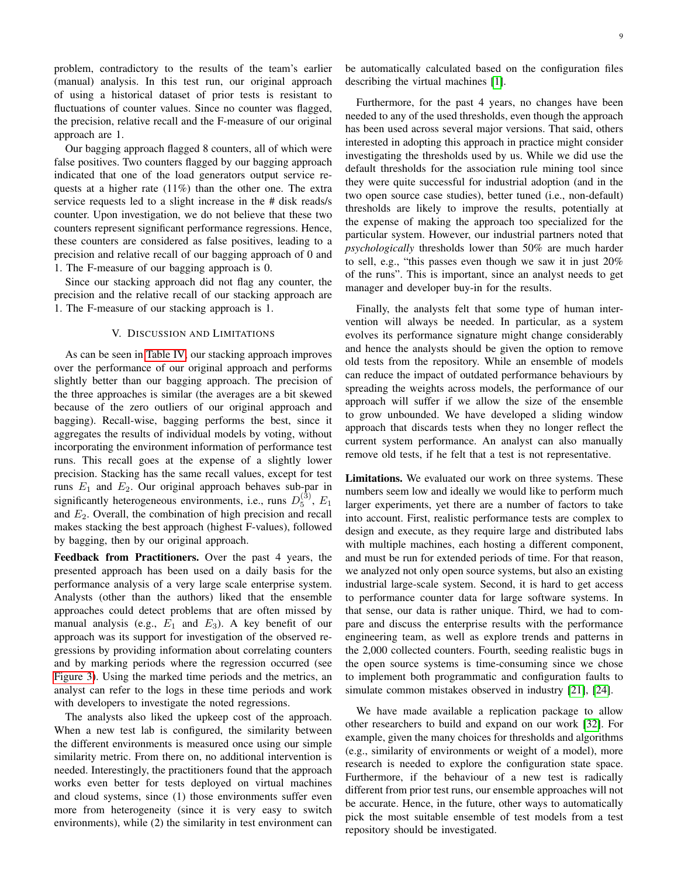problem, contradictory to the results of the team's earlier (manual) analysis. In this test run, our original approach of using a historical dataset of prior tests is resistant to fluctuations of counter values. Since no counter was flagged, the precision, relative recall and the F-measure of our original approach are 1.

Our bagging approach flagged 8 counters, all of which were false positives. Two counters flagged by our bagging approach indicated that one of the load generators output service requests at a higher rate (11%) than the other one. The extra service requests led to a slight increase in the # disk reads/s counter. Upon investigation, we do not believe that these two counters represent significant performance regressions. Hence, these counters are considered as false positives, leading to a precision and relative recall of our bagging approach of 0 and 1. The F-measure of our bagging approach is 0.

Since our stacking approach did not flag any counter, the precision and the relative recall of our stacking approach are 1. The F-measure of our stacking approach is 1.

## V. DISCUSSION AND LIMITATIONS

As can be seen in [Table IV,](#page-5-0) our stacking approach improves over the performance of our original approach and performs slightly better than our bagging approach. The precision of the three approaches is similar (the averages are a bit skewed because of the zero outliers of our original approach and bagging). Recall-wise, bagging performs the best, since it aggregates the results of individual models by voting, without incorporating the environment information of performance test runs. This recall goes at the expense of a slightly lower precision. Stacking has the same recall values, except for test runs  $E_1$  and  $E_2$ . Our original approach behaves sub-par in significantly heterogeneous environments, i.e., runs  $D_5^{(3)}$ ,  $E_1$ and  $E_2$ . Overall, the combination of high precision and recall makes stacking the best approach (highest F-values), followed by bagging, then by our original approach.

Feedback from Practitioners. Over the past 4 years, the presented approach has been used on a daily basis for the performance analysis of a very large scale enterprise system. Analysts (other than the authors) liked that the ensemble approaches could detect problems that are often missed by manual analysis (e.g.,  $E_1$  and  $E_3$ ). A key benefit of our approach was its support for investigation of the observed regressions by providing information about correlating counters and by marking periods where the regression occurred (see [Figure 3\)](#page-4-1). Using the marked time periods and the metrics, an analyst can refer to the logs in these time periods and work with developers to investigate the noted regressions.

The analysts also liked the upkeep cost of the approach. When a new test lab is configured, the similarity between the different environments is measured once using our simple similarity metric. From there on, no additional intervention is needed. Interestingly, the practitioners found that the approach works even better for tests deployed on virtual machines and cloud systems, since (1) those environments suffer even more from heterogeneity (since it is very easy to switch environments), while (2) the similarity in test environment can be automatically calculated based on the configuration files describing the virtual machines [\[1\]](#page-9-36).

Furthermore, for the past 4 years, no changes have been needed to any of the used thresholds, even though the approach has been used across several major versions. That said, others interested in adopting this approach in practice might consider investigating the thresholds used by us. While we did use the default thresholds for the association rule mining tool since they were quite successful for industrial adoption (and in the two open source case studies), better tuned (i.e., non-default) thresholds are likely to improve the results, potentially at the expense of making the approach too specialized for the particular system. However, our industrial partners noted that *psychologically* thresholds lower than 50% are much harder to sell, e.g., "this passes even though we saw it in just 20% of the runs". This is important, since an analyst needs to get manager and developer buy-in for the results.

Finally, the analysts felt that some type of human intervention will always be needed. In particular, as a system evolves its performance signature might change considerably and hence the analysts should be given the option to remove old tests from the repository. While an ensemble of models can reduce the impact of outdated performance behaviours by spreading the weights across models, the performance of our approach will suffer if we allow the size of the ensemble to grow unbounded. We have developed a sliding window approach that discards tests when they no longer reflect the current system performance. An analyst can also manually remove old tests, if he felt that a test is not representative.

Limitations. We evaluated our work on three systems. These numbers seem low and ideally we would like to perform much larger experiments, yet there are a number of factors to take into account. First, realistic performance tests are complex to design and execute, as they require large and distributed labs with multiple machines, each hosting a different component, and must be run for extended periods of time. For that reason, we analyzed not only open source systems, but also an existing industrial large-scale system. Second, it is hard to get access to performance counter data for large software systems. In that sense, our data is rather unique. Third, we had to compare and discuss the enterprise results with the performance engineering team, as well as explore trends and patterns in the 2,000 collected counters. Fourth, seeding realistic bugs in the open source systems is time-consuming since we chose to implement both programmatic and configuration faults to simulate common mistakes observed in industry [\[21\]](#page-9-19), [\[24\]](#page-9-31).

We have made available a replication package to allow other researchers to build and expand on our work [\[32\]](#page-9-8). For example, given the many choices for thresholds and algorithms (e.g., similarity of environments or weight of a model), more research is needed to explore the configuration state space. Furthermore, if the behaviour of a new test is radically different from prior test runs, our ensemble approaches will not be accurate. Hence, in the future, other ways to automatically pick the most suitable ensemble of test models from a test repository should be investigated.